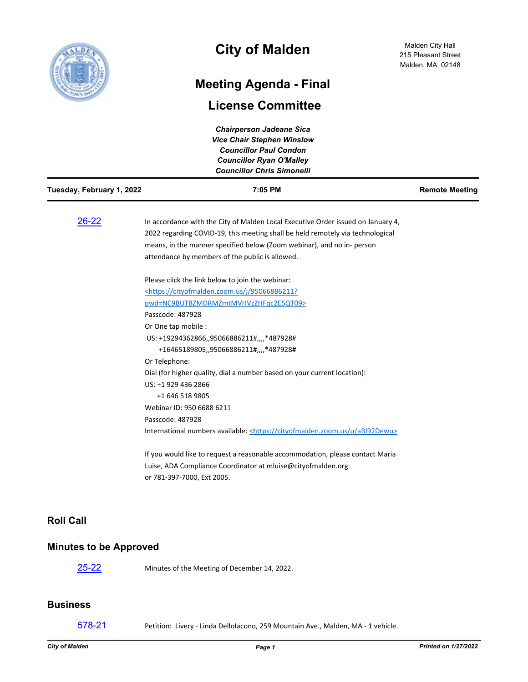

# **City of Malden**

## **Meeting Agenda - Final**

## **License Committee**

| <b>Chairperson Jadeane Sica</b><br><b>Vice Chair Stephen Winslow</b><br><b>Councillor Paul Condon</b><br><b>Councillor Ryan O'Malley</b><br><b>Councillor Chris Simonelli</b> |                                                                                                                                                                                                                                                                                                                                                                                                                                                                                                                                                                                                     |                       |
|-------------------------------------------------------------------------------------------------------------------------------------------------------------------------------|-----------------------------------------------------------------------------------------------------------------------------------------------------------------------------------------------------------------------------------------------------------------------------------------------------------------------------------------------------------------------------------------------------------------------------------------------------------------------------------------------------------------------------------------------------------------------------------------------------|-----------------------|
| Tuesday, February 1, 2022                                                                                                                                                     | 7:05 PM                                                                                                                                                                                                                                                                                                                                                                                                                                                                                                                                                                                             | <b>Remote Meeting</b> |
| $26 - 22$                                                                                                                                                                     | In accordance with the City of Malden Local Executive Order issued on January 4,<br>2022 regarding COVID-19, this meeting shall be held remotely via technological<br>means, in the manner specified below (Zoom webinar), and no in- person<br>attendance by members of the public is allowed.                                                                                                                                                                                                                                                                                                     |                       |
|                                                                                                                                                                               | Please click the link below to join the webinar:<br><https: 95066886211?<br="" cityofmalden.zoom.us="" j="">pwd=NC9BUTBZMDRMZmtMVHVzZHFqc2E5QT09&gt;<br/>Passcode: 487928<br/>Or One tap mobile :<br/>US: +19294362866,,95066886211#,,,,*487928#<br/>+16465189805,,95066886211#,,,,*487928#<br/>Or Telephone:<br/>Dial (for higher quality, dial a number based on your current location):<br/>US: +1 929 436 2866<br/>+1 646 518 9805<br/>Webinar ID: 950 6688 6211<br/>Passcode: 487928<br/>International numbers available: <https: abi92dewu="" cityofmalden.zoom.us="" u=""></https:></https:> |                       |
|                                                                                                                                                                               | If you would like to request a reasonable accommodation, please contact Maria<br>Luise, ADA Compliance Coordinator at mluise@cityofmalden.org<br>or 781-397-7000, Ext 2005.                                                                                                                                                                                                                                                                                                                                                                                                                         |                       |

#### **Roll Call**

#### **Minutes to be Approved**

[25-22](http://cityofmalden.legistar.com/gateway.aspx?m=l&id=/matter.aspx?key=10258) Minutes of the Meeting of December 14, 2022.

#### **Business**

[578-21](http://cityofmalden.legistar.com/gateway.aspx?m=l&id=/matter.aspx?key=10215) Petition: Livery - Linda DelloIacono, 259 Mountain Ave., Malden, MA - 1 vehicle.